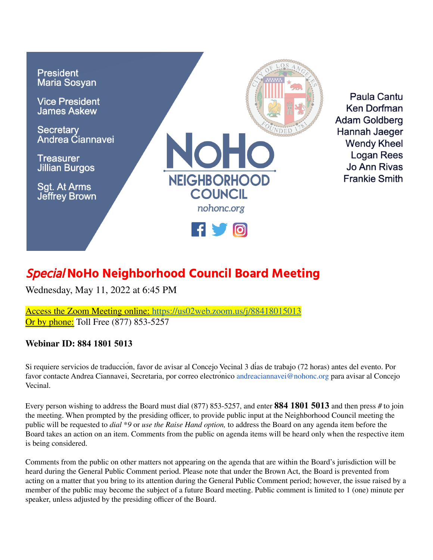

Paula Cantu Ken Dorfman **Adam Goldberg** Hannah Jaeger **Wendy Kheel** Logan Rees Jo Ann Rivas **Frankie Smith** 

# Special **NoHo Neighborhood Council Board Meeting**

Wednesday, May 11, 2022 at 6:45 PM

Access the Zoom Meeting online: <https://us02web.zoom.us/j/88418015013> **Or by phone:** Toll Free (877) 853-5257

## **Webinar ID: 884 1801 5013**

Si requiere servicios de traducción, favor de avisar al Concejo Vecinal 3 días de trabajo (72 horas) antes del evento. Por favor contacte Andrea Ciannavei, Secretaria, por correo electronico andreaciannavei@nohonc.org para avisar al Concejo Vecinal.

Every person wishing to address the Board must dial (877) 853-5257, and enter **884 1801 5013** and then press # to join the meeting. When prompted by the presiding officer, to provide public input at the Neighborhood Council meeting the public will be requested to *dial \*9* or *use the Raise Hand option,* to address the Board on any agenda item before the Board takes an action on an item. Comments from the public on agenda items will be heard only when the respective item is being considered.

Comments from the public on other matters not appearing on the agenda that are within the Board's jurisdiction will be heard during the General Public Comment period. Please note that under the Brown Act, the Board is prevented from acting on a matter that you bring to its attention during the General Public Comment period; however, the issue raised by a member of the public may become the subject of a future Board meeting. Public comment is limited to 1 (one) minute per speaker, unless adjusted by the presiding officer of the Board.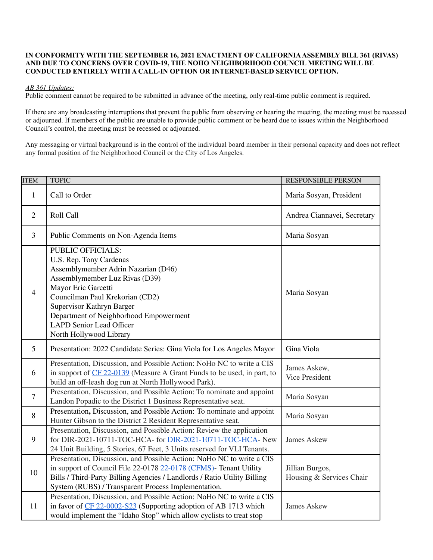#### **IN CONFORMITY WITH THE SEPTEMBER 16, 2021 ENACTMENT OF CALIFORNIAASSEMBLY BILL 361 (RIVAS) AND DUE TO CONCERNS OVER COVID-19, THE NOHO NEIGHBORHOOD COUNCIL MEETING WILL BE CONDUCTED ENTIRELY WITH A CALL-IN OPTION OR INTERNET-BASED SERVICE OPTION.**

#### *AB 361 Updates:*

Public comment cannot be required to be submitted in advance of the meeting, only real-time public comment is required.

If there are any broadcasting interruptions that prevent the public from observing or hearing the meeting, the meeting must be recessed or adjourned. If members of the public are unable to provide public comment or be heard due to issues within the Neighborhood Council's control, the meeting must be recessed or adjourned.

Any messaging or virtual background is in the control of the individual board member in their personal capacity and does not reflect any formal position of the Neighborhood Council or the City of Los Angeles.

| <b>ITEM</b>    | <b>TOPIC</b>                                                                                                                                                                                                                                                                                                                | <b>RESPONSIBLE PERSON</b>                   |
|----------------|-----------------------------------------------------------------------------------------------------------------------------------------------------------------------------------------------------------------------------------------------------------------------------------------------------------------------------|---------------------------------------------|
| 1              | Call to Order                                                                                                                                                                                                                                                                                                               | Maria Sosyan, President                     |
| $\overline{2}$ | Roll Call                                                                                                                                                                                                                                                                                                                   | Andrea Ciannavei, Secretary                 |
| 3              | Public Comments on Non-Agenda Items                                                                                                                                                                                                                                                                                         | Maria Sosyan                                |
| $\overline{4}$ | <b>PUBLIC OFFICIALS:</b><br>U.S. Rep. Tony Cardenas<br>Assemblymember Adrin Nazarian (D46)<br>Assemblymember Luz Rivas (D39)<br>Mayor Eric Garcetti<br>Councilman Paul Krekorian (CD2)<br>Supervisor Kathryn Barger<br>Department of Neighborhood Empowerment<br><b>LAPD Senior Lead Officer</b><br>North Hollywood Library | Maria Sosyan                                |
| 5              | Presentation: 2022 Candidate Series: Gina Viola for Los Angeles Mayor                                                                                                                                                                                                                                                       | Gina Viola                                  |
| 6              | Presentation, Discussion, and Possible Action: NoHo NC to write a CIS<br>in support of CF 22-0139 (Measure A Grant Funds to be used, in part, to<br>build an off-leash dog run at North Hollywood Park).                                                                                                                    | James Askew,<br><b>Vice President</b>       |
| $\overline{7}$ | Presentation, Discussion, and Possible Action: To nominate and appoint<br>Landon Popadic to the District 1 Business Representative seat.                                                                                                                                                                                    | Maria Sosyan                                |
| 8              | Presentation, Discussion, and Possible Action: To nominate and appoint<br>Hunter Gibson to the District 2 Resident Representative seat.                                                                                                                                                                                     | Maria Sosyan                                |
| 9              | Presentation, Discussion, and Possible Action: Review the application<br>for DIR-2021-10711-TOC-HCA- for DIR-2021-10711-TOC-HCA- New<br>24 Unit Building, 5 Stories, 67 Feet, 3 Units reserved for VLI Tenants.                                                                                                             | <b>James Askew</b>                          |
| 10             | Presentation, Discussion, and Possible Action: NoHo NC to write a CIS<br>in support of Council File 22-0178 22-0178 (CFMS)- Tenant Utility<br>Bills / Third-Party Billing Agencies / Landlords / Ratio Utility Billing<br>System (RUBS) / Transparent Process Implementation.                                               | Jillian Burgos,<br>Housing & Services Chair |
| 11             | Presentation, Discussion, and Possible Action: NoHo NC to write a CIS<br>in favor of CF 22-0002-S23 (Supporting adoption of AB 1713 which<br>would implement the "Idaho Stop" which allow cyclists to treat stop                                                                                                            | <b>James Askew</b>                          |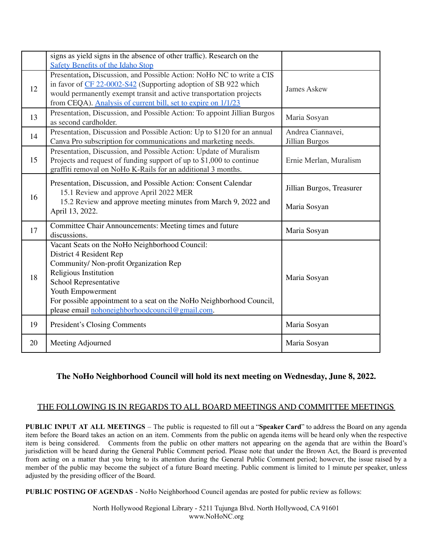|    | signs as yield signs in the absence of other traffic). Research on the<br><b>Safety Benefits of the Idaho Stop</b>                                                                                                                                                                                                    |                                           |
|----|-----------------------------------------------------------------------------------------------------------------------------------------------------------------------------------------------------------------------------------------------------------------------------------------------------------------------|-------------------------------------------|
| 12 | Presentation, Discussion, and Possible Action: NoHo NC to write a CIS<br>in favor of CF 22-0002-S42 (Supporting adoption of SB 922 which<br>would permanently exempt transit and active transportation projects<br>from CEQA). Analysis of current bill, set to expire on 1/1/23                                      | <b>James Askew</b>                        |
| 13 | Presentation, Discussion, and Possible Action: To appoint Jillian Burgos<br>as second cardholder.                                                                                                                                                                                                                     | Maria Sosyan                              |
| 14 | Presentation, Discussion and Possible Action: Up to \$120 for an annual<br>Canva Pro subscription for communications and marketing needs.                                                                                                                                                                             | Andrea Ciannavei,<br>Jillian Burgos       |
| 15 | Presentation, Discussion, and Possible Action: Update of Muralism<br>Projects and request of funding support of up to \$1,000 to continue<br>graffiti removal on NoHo K-Rails for an additional 3 months.                                                                                                             | Ernie Merlan, Muralism                    |
| 16 | Presentation, Discussion, and Possible Action: Consent Calendar<br>15.1 Review and approve April 2022 MER<br>15.2 Review and approve meeting minutes from March 9, 2022 and<br>April 13, 2022.                                                                                                                        | Jillian Burgos, Treasurer<br>Maria Sosyan |
| 17 | Committee Chair Announcements: Meeting times and future<br>discussions.                                                                                                                                                                                                                                               | Maria Sosyan                              |
| 18 | Vacant Seats on the NoHo Neighborhood Council:<br>District 4 Resident Rep<br>Community/ Non-profit Organization Rep<br>Religious Institution<br>School Representative<br>Youth Empowerment<br>For possible appointment to a seat on the NoHo Neighborhood Council,<br>please email nohoneighborhoodcouncil@gmail.com. | Maria Sosyan                              |
| 19 | President's Closing Comments                                                                                                                                                                                                                                                                                          | Maria Sosyan                              |
| 20 | Meeting Adjourned                                                                                                                                                                                                                                                                                                     | Maria Sosyan                              |

## **The NoHo Neighborhood Council will hold its next meeting on Wednesday, June 8, 2022.**

### THE FOLLOWING IS IN REGARDS TO ALL BOARD MEETINGS AND COMMITTEE MEETINGS

**PUBLIC INPUT AT ALL MEETINGS** – The public is requested to fill out a "**Speaker Card**" to address the Board on any agenda item before the Board takes an action on an item. Comments from the public on agenda items will be heard only when the respective item is being considered. Comments from the public on other matters not appearing on the agenda that are within the Board's jurisdiction will be heard during the General Public Comment period. Please note that under the Brown Act, the Board is prevented from acting on a matter that you bring to its attention during the General Public Comment period; however, the issue raised by a member of the public may become the subject of a future Board meeting. Public comment is limited to 1 minute per speaker, unless adjusted by the presiding officer of the Board.

**PUBLIC POSTING OF AGENDAS** - NoHo Neighborhood Council agendas are posted for public review as follows:

North Hollywood Regional Library - 5211 Tujunga Blvd. North Hollywood, CA 91601 www.NoHoNC.org